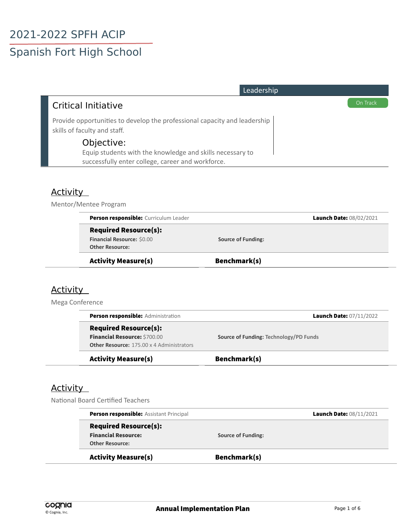# Spanish Fort High School

| Leadership                                                                                                                   |          |
|------------------------------------------------------------------------------------------------------------------------------|----------|
| <b>Critical Initiative</b>                                                                                                   | On Track |
| Provide opportunities to develop the professional capacity and leadership<br>skills of faculty and staff.                    |          |
| Objective:<br>Equip students with the knowledge and skills necessary to<br>successfully enter college, career and workforce. |          |

## **Activity**

Mentor/Mentee Program

| <b>Activity Measure(s)</b>                           | Benchmark(s)              |                         |
|------------------------------------------------------|---------------------------|-------------------------|
| Financial Resource: \$0.00<br><b>Other Resource:</b> | <b>Source of Funding:</b> |                         |
| <b>Required Resource(s):</b>                         |                           |                         |
| Person responsible: Curriculum Leader                |                           | Launch Date: 08/02/2021 |

#### **Activity**

Mega Conference

| <b>Activity Measure(s)</b>                                                                                       | Benchmark(s)                           |
|------------------------------------------------------------------------------------------------------------------|----------------------------------------|
| <b>Required Resource(s):</b><br>Financial Resource: \$700.00<br><b>Other Resource: 175.00 x 4 Administrators</b> | Source of Funding: Technology/PD Funds |
| <b>Person responsible:</b> Administration                                                                        | <b>Launch Date: 07/11/2022</b>         |

#### **Activity**

National Board Certified Teachers

| <b>Activity Measure(s)</b>                     | Benchmark(s)              |                         |
|------------------------------------------------|---------------------------|-------------------------|
| <b>Other Resource:</b>                         |                           |                         |
| <b>Financial Resource:</b>                     | <b>Source of Funding:</b> |                         |
| <b>Required Resource(s):</b>                   |                           |                         |
| <b>Person responsible:</b> Assistant Principal |                           | Launch Date: 08/11/2021 |
|                                                |                           |                         |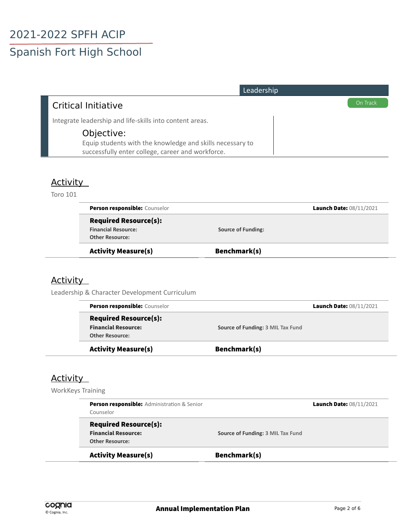# Spanish Fort High School

| Leadership                                                |          |
|-----------------------------------------------------------|----------|
| Critical Initiative                                       | On Track |
| Integrate leadership and life-skills into content areas.  |          |
| Objective:                                                |          |
| Equip students with the knowledge and skills necessary to |          |
| successfully enter college, career and workforce.         |          |

#### **Activity**

Toro 101

| <b>Person responsible: Counselor</b> |                           | Launch Date: 08/11/2021 |
|--------------------------------------|---------------------------|-------------------------|
| <b>Required Resource(s):</b>         |                           |                         |
| <b>Financial Resource:</b>           | <b>Source of Funding:</b> |                         |
| <b>Other Resource:</b>               |                           |                         |
| <b>Activity Measure(s)</b>           | Benchmark(s)              |                         |

## Activity

Leadership & Character Development Curriculum

| <b>Activity Measure(s)</b>    | Benchmark(s)                      |
|-------------------------------|-----------------------------------|
| <b>Other Resource:</b>        |                                   |
| <b>Financial Resource:</b>    | Source of Funding: 3 MIL Tax Fund |
| <b>Required Resource(s):</b>  |                                   |
| Person responsible: Counselor | Launch Date: 08/11/2021           |
|                               |                                   |

#### **Activity**

WorkKeys Training

|                                   | Launch Date: 08/11/2021                                            |
|-----------------------------------|--------------------------------------------------------------------|
|                                   |                                                                    |
|                                   |                                                                    |
| Source of Funding: 3 MIL Tax Fund |                                                                    |
|                                   |                                                                    |
|                                   |                                                                    |
|                                   | <b>Person responsible:</b> Administration & Senior<br>Benchmark(s) |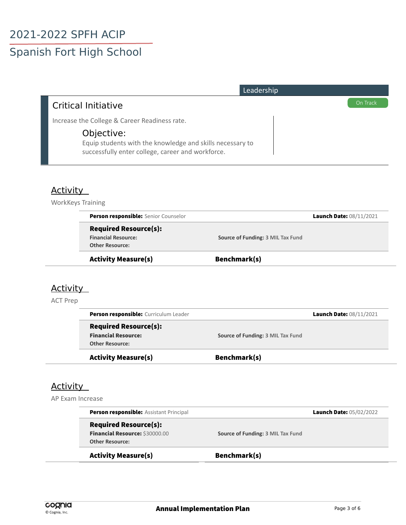# Spanish Fort High School

| Leadership                                                                                                                   |          |
|------------------------------------------------------------------------------------------------------------------------------|----------|
| Critical Initiative                                                                                                          | On Track |
| Increase the College & Career Readiness rate.                                                                                |          |
| Objective:<br>Equip students with the knowledge and skills necessary to<br>successfully enter college, career and workforce. |          |

#### **Activity**

WorkKeys Training

| <b>Activity Measure(s)</b>           | Benchmark(s)                      |
|--------------------------------------|-----------------------------------|
| <b>Other Resource:</b>               |                                   |
| <b>Financial Resource:</b>           | Source of Funding: 3 MIL Tax Fund |
| <b>Required Resource(s):</b>         |                                   |
| Person responsible: Senior Counselor | <b>Launch Date: 08/11/2021</b>    |

## **Activity**

ACT Prep

| <b>Financial Resource:</b>                           | Source of Funding: 3 MIL Tax Fund |
|------------------------------------------------------|-----------------------------------|
| <b>Other Resource:</b><br><b>Activity Measure(s)</b> | Benchmark(s)                      |

#### Activity

AP Exam Increase

| <b>Activity Measure(s)</b>                     | Benchmark(s)                      |                                |
|------------------------------------------------|-----------------------------------|--------------------------------|
| <b>Other Resource:</b>                         |                                   |                                |
| Financial Resource: \$30000.00                 | Source of Funding: 3 MIL Tax Fund |                                |
| <b>Required Resource(s):</b>                   |                                   |                                |
| <b>Person responsible:</b> Assistant Principal |                                   | <b>Launch Date: 05/02/2022</b> |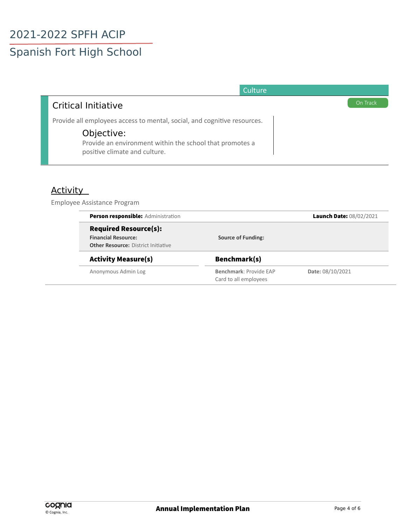# Spanish Fort High School

| Culture                                                                                                                                                                             |          |
|-------------------------------------------------------------------------------------------------------------------------------------------------------------------------------------|----------|
| <b>Critical Initiative</b>                                                                                                                                                          | On Track |
| Provide all employees access to mental, social, and cognitive resources.<br>Objective:<br>Provide an environment within the school that promotes a<br>positive climate and culture. |          |

## Activity

Employee Assistance Program

| <b>Person responsible:</b> Administration  |                           | Launch Date: 08/02/2021 |  |
|--------------------------------------------|---------------------------|-------------------------|--|
| <b>Required Resource(s):</b>               |                           |                         |  |
| <b>Financial Resource:</b>                 | <b>Source of Funding:</b> |                         |  |
| <b>Other Resource: District Initiative</b> |                           |                         |  |
| <b>Activity Measure(s)</b>                 | Benchmark(s)              |                         |  |
| Anonymous Admin Log                        | Benchmark: Provide EAP    | Date: 08/10/2021        |  |
|                                            | Card to all employees     |                         |  |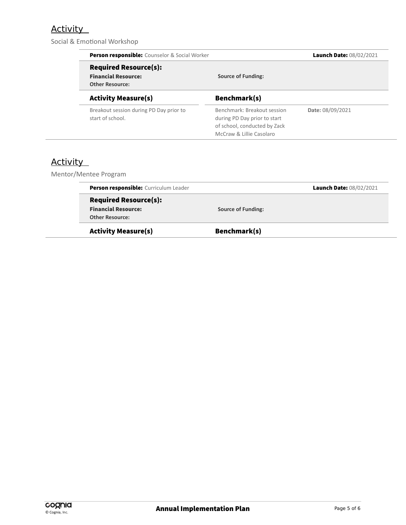## **Activity**

Social & Emotional Workshop

| <b>Person responsible:</b> Counselor & Social Worker                                 |                                                                                                                         | Launch Date: 08/02/2021 |
|--------------------------------------------------------------------------------------|-------------------------------------------------------------------------------------------------------------------------|-------------------------|
| <b>Required Resource(s):</b><br><b>Financial Resource:</b><br><b>Other Resource:</b> | <b>Source of Funding:</b>                                                                                               |                         |
| <b>Activity Measure(s)</b>                                                           | Benchmark(s)                                                                                                            |                         |
| Breakout session during PD Day prior to<br>start of school.                          | Benchmark: Breakout session<br>during PD Day prior to start<br>of school, conducted by Zack<br>McCraw & Lillie Casolaro | Date: 08/09/2021        |

## **Activity**

Mentor/Mentee Program

| Person responsible: Curriculum Leader |                           | Launch Date: 08/02/2021 |
|---------------------------------------|---------------------------|-------------------------|
| <b>Required Resource(s):</b>          |                           |                         |
| <b>Financial Resource:</b>            | <b>Source of Funding:</b> |                         |
| <b>Other Resource:</b>                |                           |                         |
| <b>Activity Measure(s)</b>            | Benchmark(s)              |                         |